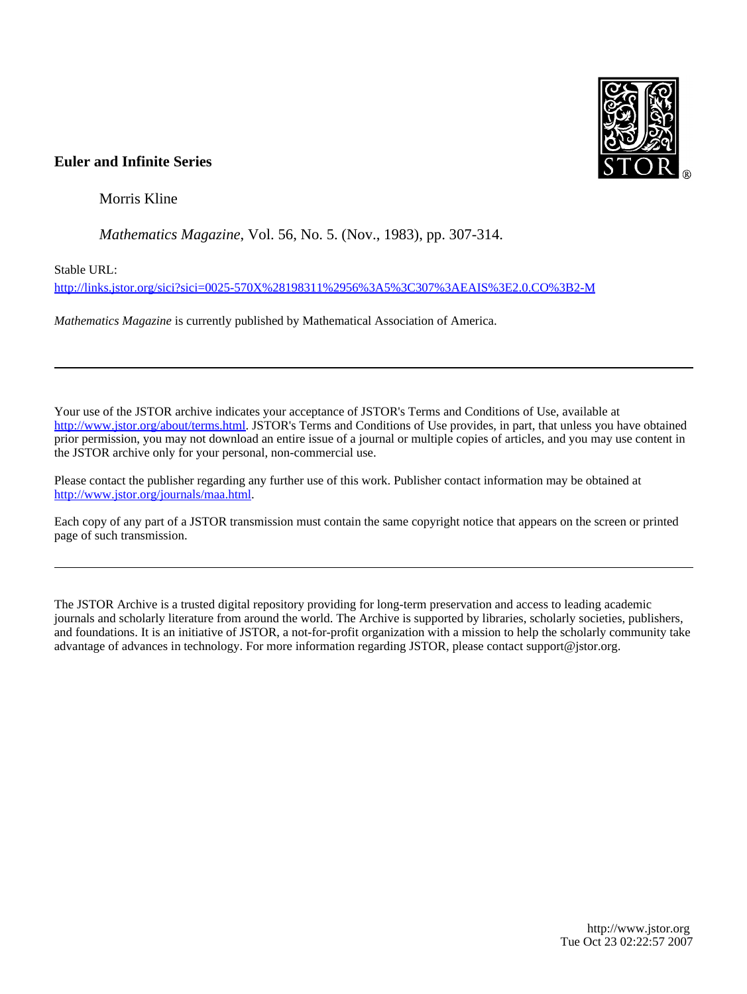

## **Euler and Infinite Series**

Morris Kline

*Mathematics Magazine*, Vol. 56, No. 5. (Nov., 1983), pp. 307-314.

Stable URL:

<http://links.jstor.org/sici?sici=0025-570X%28198311%2956%3A5%3C307%3AEAIS%3E2.0.CO%3B2-M>

*Mathematics Magazine* is currently published by Mathematical Association of America.

Your use of the JSTOR archive indicates your acceptance of JSTOR's Terms and Conditions of Use, available at [http://www.jstor.org/about/terms.html.](http://www.jstor.org/about/terms.html) JSTOR's Terms and Conditions of Use provides, in part, that unless you have obtained prior permission, you may not download an entire issue of a journal or multiple copies of articles, and you may use content in the JSTOR archive only for your personal, non-commercial use.

Please contact the publisher regarding any further use of this work. Publisher contact information may be obtained at <http://www.jstor.org/journals/maa.html>.

Each copy of any part of a JSTOR transmission must contain the same copyright notice that appears on the screen or printed page of such transmission.

The JSTOR Archive is a trusted digital repository providing for long-term preservation and access to leading academic journals and scholarly literature from around the world. The Archive is supported by libraries, scholarly societies, publishers, and foundations. It is an initiative of JSTOR, a not-for-profit organization with a mission to help the scholarly community take advantage of advances in technology. For more information regarding JSTOR, please contact support@jstor.org.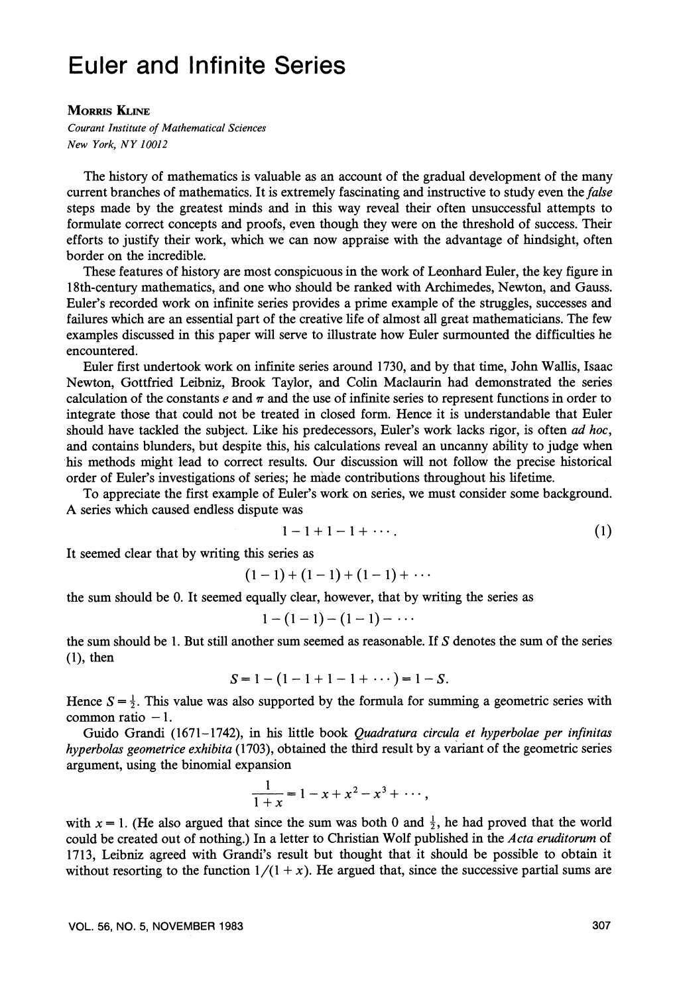## Euler and Infinite Series

## **MORRIS KLINE**

*Courant Institute* of *Mathematical Scierrces New York, NY I0012* 

The history of mathematics is valuable as an account of the gradual development of the many current branches of mathematics. It is extremely fascinating and instructive to study even the *false* steps made by the greatest minds and in this way reveal their often unsuccessful attempts to formulate correct concepts and proofs, even though they were on the threshold of success. Their efforts to justify their work, which we can now appraise with the advantage of hindsight, often border on the incredible.

These features of history are most conspicuous in the work of Leonhard Euler, the key figure in 18th-century mathematics, and one who should be ranked with Archimedes, Newton, and Gauss. Euler's recorded work on infinite series provides a prime example of the struggles, successes and failures which are an essential part of the creative life of almost all great mathematicians. The few examples discussed in this paper will serve to illustrate how Euler surmounted the difficulties he encountered.

Euler first undertook work on infinite series around 1730, and by that time, John Wallis, Isaac Newton, Gottfried Leibniz, Brook Taylor, and Colin Maclaurin had demonstrated the series calculation of the constants  $e$  and  $\pi$  and the use of infinite series to represent functions in order to integrate those that could not be treated in closed form. Hence it is understandable that Euler should have tackled the subject. Like his predecessors, Euler's work lacks rigor, is often ad hoc, and contains blunders, but despite this, his calculations reveal an uncanny ability to judge when his methods might lead to correct results. Our discussion will not follow the precise historical order of Euler's investigations of series; he made contributions throughout his lifetime.

To appreciate the first example of Euler's work on series, we must consider some background. A series which caused endless dispute was

$$
1 - 1 + 1 - 1 + \cdots \tag{1}
$$

It seemed clear that by writing this series as

 $(1-1)+(1-1)+(1-1)+\cdots$ 

the sum should be 0. It seemed equally clear, however, that by writing the series as

$$
1-(1-1)-(1-1)-\cdots
$$

the sum should be 1. But still another sum seemed as reasonable. If S denotes the sum of the series (I), then

 $S=1-(1-1+1-1+\cdots) = 1-S.$ 

Hence  $S = \frac{1}{2}$ . This value was also supported by the formula for summing a geometric series with common ratio  $-1$ .

Guido Grandi (1671-1742), in his little book Quadratura circula et hyperbolae per infinitas hyperbolas geometrice exhibita (1703), obtained the third result by a variant of the geometric series argument, using the binomial expansion

$$
\frac{1}{1+x} = 1 - x + x^2 - x^3 + \cdots,
$$

with  $x = 1$ . (He also argued that since the sum was both 0 and  $\frac{1}{2}$ , he had proved that the world could be created out of nothing.) In a letter to Christian Wolf published in the Acta eruditorum of 1713, Leibniz agreed with Grandi's result but thought that it should be possible to obtain it without resorting to the function  $1/(1 + x)$ . He argued that, since the successive partial sums are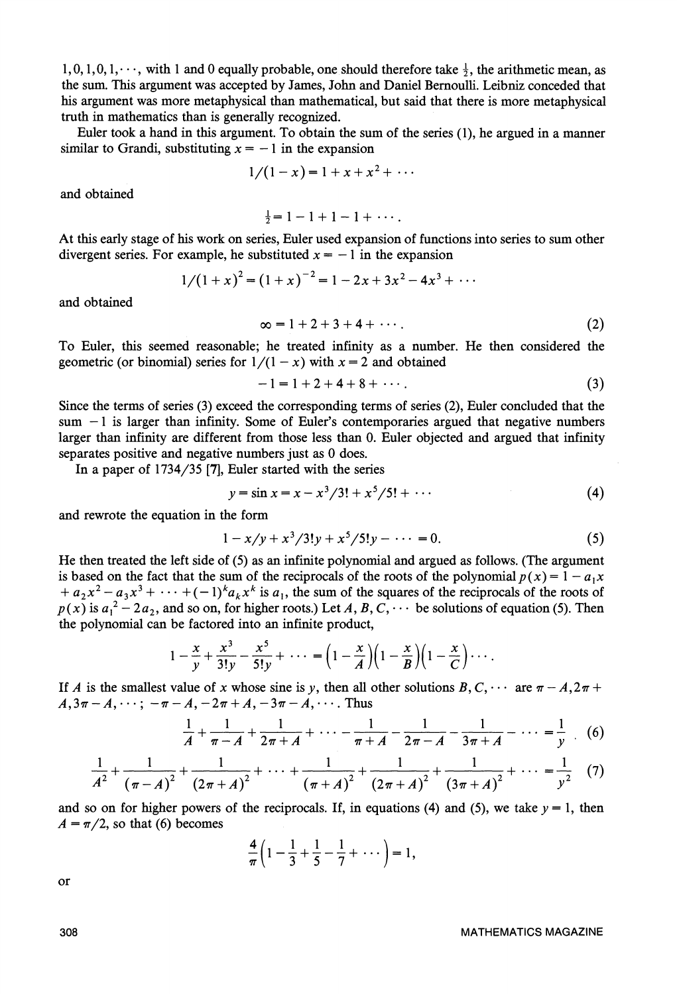$1,0,1,0,1,\dots$ , with 1 and 0 equally probable, one should therefore take  $\frac{1}{2}$ , the arithmetic mean, as the sum. This argument was accepted by James, John and Daniel Bernoulli. Leibniz conceded that his argument was more metaphysical than mathematical, but said that there is more metaphysical truth in mathematics than is generally recognized.

Euler took a hand in this argument. To obtain the sum of the series (I), he argued in a manner similar to Grandi, substituting  $x = -1$  in the expansion

$$
1/(1-x) = 1 + x + x^2 + \cdots
$$

and obtained

 $\frac{1}{2} = 1 - 1 + 1 - 1 + \cdots$ 

At this early stage of his work on series, Euler used expansion of functions into series to sum other divergent series. For example, he substituted  $x = -1$  in the expansion

$$
1/(1+x)^2 = (1+x)^{-2} = 1 - 2x + 3x^2 - 4x^3 + \cdots
$$

and obtained

$$
\infty = 1 + 2 + 3 + 4 + \cdots \tag{2}
$$

To Euler, this seemed reasonable; he treated infinity as a number. He then considered the geometric (or binomial) series for  $1/(1-x)$  with  $x = 2$  and obtained

$$
-1 = 1 + 2 + 4 + 8 + \cdots
$$
 (3)

Since the terms of series (3) exceed the corresponding terms of series (2), Euler concluded that the sum  $-1$  is larger than infinity. Some of Euler's contemporaries argued that negative numbers larger than infinity are different from those less than 0. Euler objected and argued that infinity separates positive and negative numbers just as 0 does.

In a paper of 1734/35 **[q,**Euler started with the series

$$
y = \sin x = x - \frac{x^3}{3!} + \frac{x^5}{5!} + \cdots
$$
 (4)

and rewrote the equation in the form

$$
1 - x/y + x^3/3!y + x^5/5!y - \dots = 0.
$$
 (5)

He then treated the left side of (5) as an infinite polynomial and argued as follows. (The argument is based on the fact that the sum of the reciprocals of the roots of the polynomial  $p(x) = 1 - a_1x$  $+a_2x^2-a_3x^3+\cdots+(-1)^k a_kx^k$  is  $a_1$ , the sum of the squares of the reciprocals of the roots of  $p(x)$  is  $a_1^2 - 2a_2$ , and so on, for higher roots.) Let A, B, C,  $\cdots$  be solutions of equation (5). Then the polynomial can be factored into an infinite product,

$$
1-\frac{x}{y}+\frac{x^3}{3!y}-\frac{x^5}{5!y}+\cdots=\left(1-\frac{x}{A}\right)\left(1-\frac{x}{B}\right)\left(1-\frac{x}{C}\right)\cdots
$$

If A is the smallest value of x whose sine is y, then all other solutions  $B, C, \cdots$  are  $\pi - A, 2\pi +$  $A,3\pi-A,\dots; -\pi-A,-2\pi+A,-3\pi-A,\dots$ . Thus

$$
\frac{1}{A} + \frac{1}{\pi - A} + \frac{1}{2\pi + A} + \cdots - \frac{1}{\pi + A} - \frac{1}{2\pi - A} - \frac{1}{3\pi + A} - \cdots = \frac{1}{y}
$$
 (6)

$$
\frac{1}{A^2} + \frac{1}{(\pi - A)^2} + \frac{1}{(2\pi + A)^2} + \cdots + \frac{1}{(\pi + A)^2} + \frac{1}{(2\pi + A)^2} + \frac{1}{(3\pi + A)^2} + \cdots = \frac{1}{y^2} \quad (7)
$$

and so on for higher powers of the reciprocals. If, in equations (4) and (5), we take  $y = 1$ , then  $A = \pi/2$ , so that (6) becomes

$$
\frac{4}{\pi}\left(1-\frac{1}{3}+\frac{1}{5}-\frac{1}{7}+\cdots\right)=1,
$$

or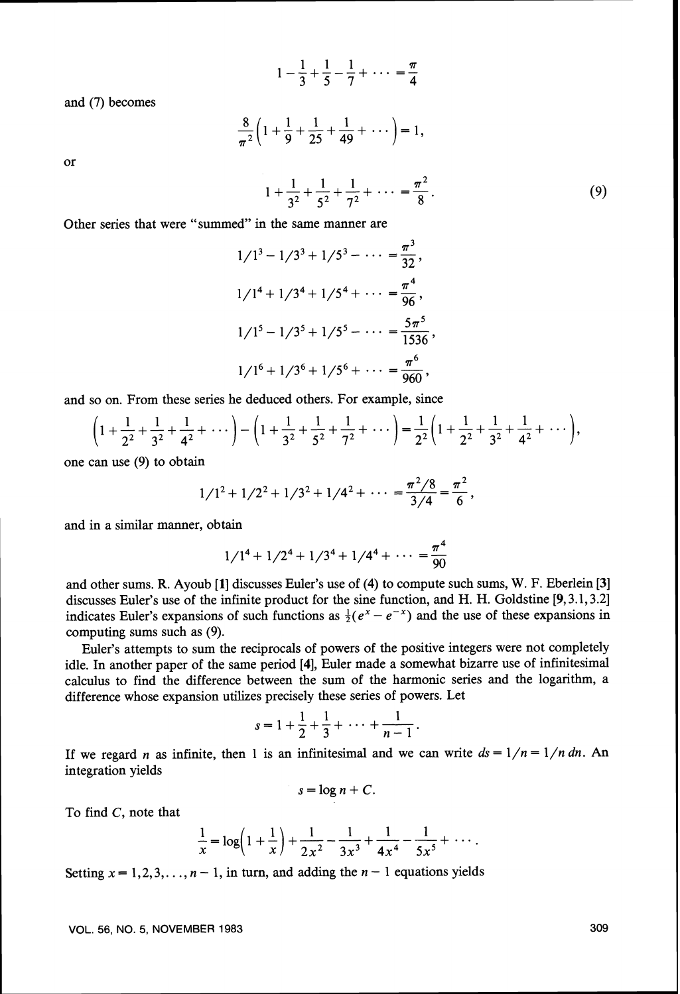$$
1 - \frac{1}{3} + \frac{1}{5} - \frac{1}{7} + \cdots = \frac{\pi}{4}
$$

and (7) becomes

$$
\frac{8}{\pi^2}\left(1+\frac{1}{9}+\frac{1}{25}+\frac{1}{49}+\cdots\right)=1,
$$

or

$$
1 + \frac{1}{3^2} + \frac{1}{5^2} + \frac{1}{7^2} + \cdots = \frac{\pi^2}{8}.
$$
 (9)

Other series that were "summed" in the same manner are

$$
1/13 - 1/33 + 1/53 - \cdots = \frac{\pi^{3}}{32},
$$
  
\n
$$
1/14 + 1/34 + 1/54 + \cdots = \frac{\pi^{4}}{96},
$$
  
\n
$$
1/15 - 1/35 + 1/55 - \cdots = \frac{5\pi^{5}}{1536},
$$
  
\n
$$
1/16 + 1/36 + 1/56 + \cdots = \frac{\pi^{6}}{960},
$$

and so on. From these series he deduced others. For example, since

$$
\left(1+\frac{1}{2^2}+\frac{1}{3^2}+\frac{1}{4^2}+\cdots\right)-\left(1+\frac{1}{3^2}+\frac{1}{5^2}+\frac{1}{7^2}+\cdots\right)=\frac{1}{2^2}\left(1+\frac{1}{2^2}+\frac{1}{3^2}+\frac{1}{4^2}+\cdots\right),
$$

one can use **(9)** to obtain

$$
1/12 + 1/22 + 1/32 + 1/42 + \cdots = \frac{\pi^{2}/8}{3/4} = \frac{\pi^{2}}{6},
$$

and in a similar manner, obtain

$$
1/1^4 + 1/2^4 + 1/3^4 + 1/4^4 + \cdots = \frac{\pi^4}{90}
$$

and other sums. R. Ayoub **[I]**discusses Euler's use of **(4)** to compute such sums, W. F. Eberlein **[3]**  discusses Euler's use of the infinite product for the sine function, and H. H. Goldstine [9,3.1,3.2] indicates Euler's expansions of such functions as  $\frac{1}{2}(e^x-e^{-x})$  and the use of these expansions in computing sums such as (9).

Euler's attempts to sum the reciprocals of powers of the positive integers were not completely idle. In another paper of the same period **[4],** Euler made a somewhat bizarre use of infinitesimal calculus to find the difference between the sum of the harmonic series and the logarithm, a difference whose expansion utilizes precisely these series of powers. Let

$$
s = 1 + \frac{1}{2} + \frac{1}{3} + \cdots + \frac{1}{n-1}.
$$

If we regard *n* as infinite, then 1 is an infinitesimal and we can write  $ds = 1/n = 1/n dn$ . An integration yields

$$
s=\log n+C.
$$

To find C, note that

$$
\frac{1}{x} = \log\left(1 + \frac{1}{x}\right) + \frac{1}{2x^2} - \frac{1}{3x^3} + \frac{1}{4x^4} - \frac{1}{5x^5} + \cdots
$$

Setting  $x = 1, 2, 3, \ldots, n - 1$ , in turn, and adding the  $n - 1$  equations yields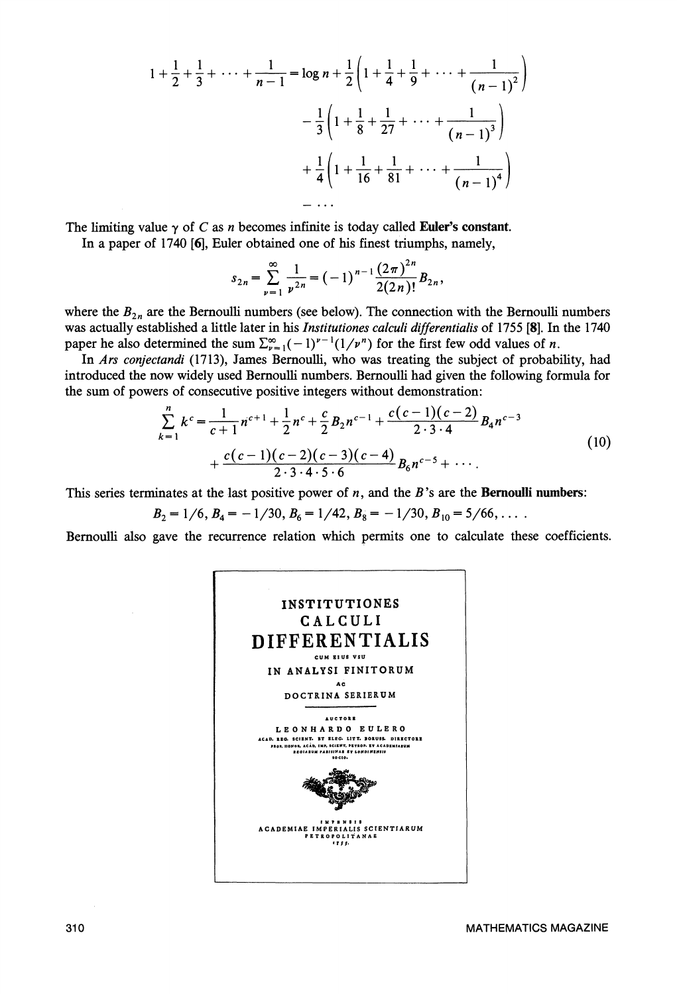$$
1 + \frac{1}{2} + \frac{1}{3} + \dots + \frac{1}{n-1} = \log n + \frac{1}{2} \left( 1 + \frac{1}{4} + \frac{1}{9} + \dots + \frac{1}{(n-1)^2} \right)
$$

$$
- \frac{1}{3} \left( 1 + \frac{1}{8} + \frac{1}{27} + \dots + \frac{1}{(n-1)^3} \right)
$$

$$
+ \frac{1}{4} \left( 1 + \frac{1}{16} + \frac{1}{81} + \dots + \frac{1}{(n-1)^4} \right)
$$

$$
= \dots
$$

The limiting value  $\gamma$  of C as *n* becomes infinite is today called **Euler's constant**.

In a paper of 1740 [6], Euler obtained one of his finest triumphs, namely,

$$
s_{2n} = \sum_{\nu=1}^{\infty} \frac{1}{\nu^{2n}} = (-1)^{n-1} \frac{(2\pi)^{2n}}{2(2n)!} B_{2n},
$$

where the  $B_{2n}$  are the Bernoulli numbers (see below). The connection with the Bernoulli numbers was actually established a little later in his Institutiones calculi differentialis of 1755 [8]. In the 1740 paper he also determined the sum  $\sum_{\nu=1}^{\infty} (-1)^{\nu-1} (1/\nu^n)$  for the first few odd values of *n*.

In Ars conjectandi (1713), James Bernoulli, who was treating the subject of probability, had introduced the now widely used Bernoulli numbers. Bernoulli had given the following formula for the sum of powers of consecutive positive integers without demonstration:

$$
\sum_{k=1}^{n} k^{c} = \frac{1}{c+1} n^{c+1} + \frac{1}{2} n^{c} + \frac{c}{2} B_{2} n^{c-1} + \frac{c(c-1)(c-2)}{2 \cdot 3 \cdot 4} B_{4} n^{c-3} + \frac{c(c-1)(c-2)(c-3)(c-4)}{2 \cdot 3 \cdot 4 \cdot 5 \cdot 6} B_{6} n^{c-5} + \cdots
$$
\n(10)

This series terminates at the last positive power of  $n$ , and the  $B$ 's are the **Bernoulli numbers**:

 $B_2 = 1/6$ ,  $B_4 = -1/30$ ,  $B_6 = 1/42$ ,  $B_8 = -1/30$ ,  $B_{10} = 5/66$ , ...

Bernoulli also gave the recurrence relation which permits one to calculate these coefficients.

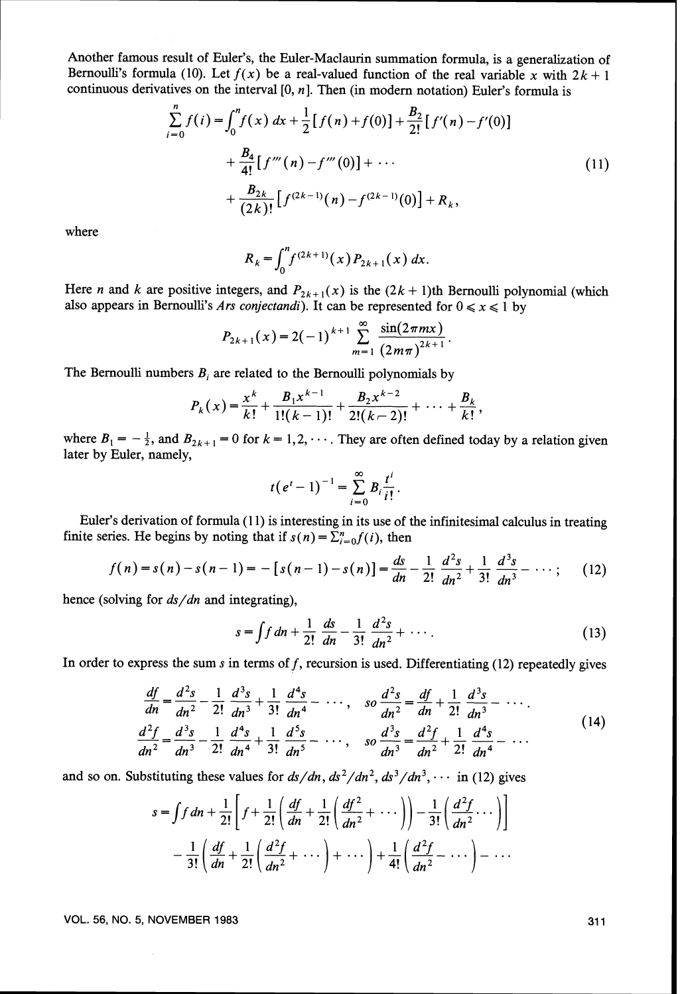Another famous result of Euler's, the Euler-Maclaurin summation formula, is a generalization of Bernoulli's formula (10). Let  $f(x)$  be a real-valued function of the real variable x with  $2k + 1$ continuous derivatives on the interval  $[0, n]$ . Then (in modern notation) Euler's formula is

$$
\sum_{i=0}^{n} f(i) = \int_{0}^{n} f(x) dx + \frac{1}{2} [f(n) + f(0)] + \frac{B_{2}}{2!} [f'(n) - f'(0)]
$$
  
+ 
$$
\frac{B_{4}}{4!} [f'''(n) - f'''(0)] + \cdots
$$
  
+ 
$$
\frac{B_{2k}}{(2k)!} [f^{(2k-1)}(n) - f^{(2k-1)}(0)] + R_{k},
$$
 (11)

where

$$
R_k = \int_0^n f^{(2k+1)}(x) P_{2k+1}(x) dx.
$$

Here *n* and *k* are positive integers, and  $P_{2k+1}(x)$  is the  $(2k + 1)$ th Bernoulli polynomial (which also appears in Bernoulli's *Ars conjectandi*). It can be represented for  $0 \le x \le 1$  by

$$
P_{2k+1}(x)=2(-1)^{k+1}\sum_{m=1}^{\infty}\frac{\sin(2\pi mx)}{(2m\pi)^{2k+1}}.
$$

The Bernoulli numbers  $B_i$ , are related to the Bernoulli polynomials by

$$
P_k(x) = \frac{x^k}{k!} + \frac{B_1 x^{k-1}}{1!(k-1)!} + \frac{B_2 x^{k-2}}{2!(k-2)!} + \cdots + \frac{B_k}{k!},
$$

where  $B_1 = -\frac{1}{2}$ , and  $B_{2k+1} = 0$  for  $k = 1, 2, \cdots$ . They are often defined today by a relation given later by Euler, namely,

$$
t(e^{t}-1)^{-1}=\sum_{i=0}^{\infty}B_{i}\frac{t^{i}}{i!}.
$$

Euler's derivation of formula (1 1) is interesting in its use of the infinitesimal calculus in treating finite series. He begins by noting that if  $s(n) = \sum_{i=0}^{n} f(i)$ , then

$$
f(n) = s(n) - s(n-1) = -[s(n-1) - s(n)] = \frac{ds}{dn} - \frac{1}{2!} \frac{d^2s}{dn^2} + \frac{1}{3!} \frac{d^3s}{dn^3} - \cdots; \qquad (12)
$$

hence (solving for  $ds/dn$  and integrating),

$$
s = \int f \, dn + \frac{1}{2!} \, \frac{ds}{dn} - \frac{1}{3!} \, \frac{d^2s}{dn^2} + \cdots \, . \tag{13}
$$

In order to express the sum  $s$  in terms of  $f$ , recursion is used. Differentiating (12) repeatedly gives

$$
\frac{df}{dn} = \frac{d^2s}{dn^2} - \frac{1}{2!} \frac{d^3s}{dn^3} + \frac{1}{3!} \frac{d^4s}{dn^4} - \cdots, \quad so \frac{d^2s}{dn^2} = \frac{df}{dn} + \frac{1}{2!} \frac{d^3s}{dn^3} - \cdots
$$
\n
$$
\frac{d^2f}{dn^2} = \frac{d^3s}{dn^3} - \frac{1}{2!} \frac{d^4s}{dn^4} + \frac{1}{3!} \frac{d^5s}{dn^5} - \cdots, \quad so \frac{d^3s}{dn^3} = \frac{d^2f}{dn^2} + \frac{1}{2!} \frac{d^4s}{dn^4} - \cdots
$$
\n(14)

and so on. Substituting these values for  $ds/dn$ ,  $ds^2/dn^2$ ,  $ds^3/dn^3$ , ... in (12) gives

$$
s = \int f \, dn + \frac{1}{2!} \left[ f + \frac{1}{2!} \left( \frac{df}{dn} + \frac{1}{2!} \left( \frac{df^2}{dn^2} + \cdots \right) \right) - \frac{1}{3!} \left( \frac{d^2f}{dn^2} \cdots \right) \right] - \frac{1}{3!} \left( \frac{df}{dn} + \frac{1}{2!} \left( \frac{d^2f}{dn^2} + \cdots \right) + \cdots \right) + \frac{1}{4!} \left( \frac{d^2f}{dn^2} - \cdots \right) - \cdots
$$

VOL. 56, NO. 5, NOVEMBER 1983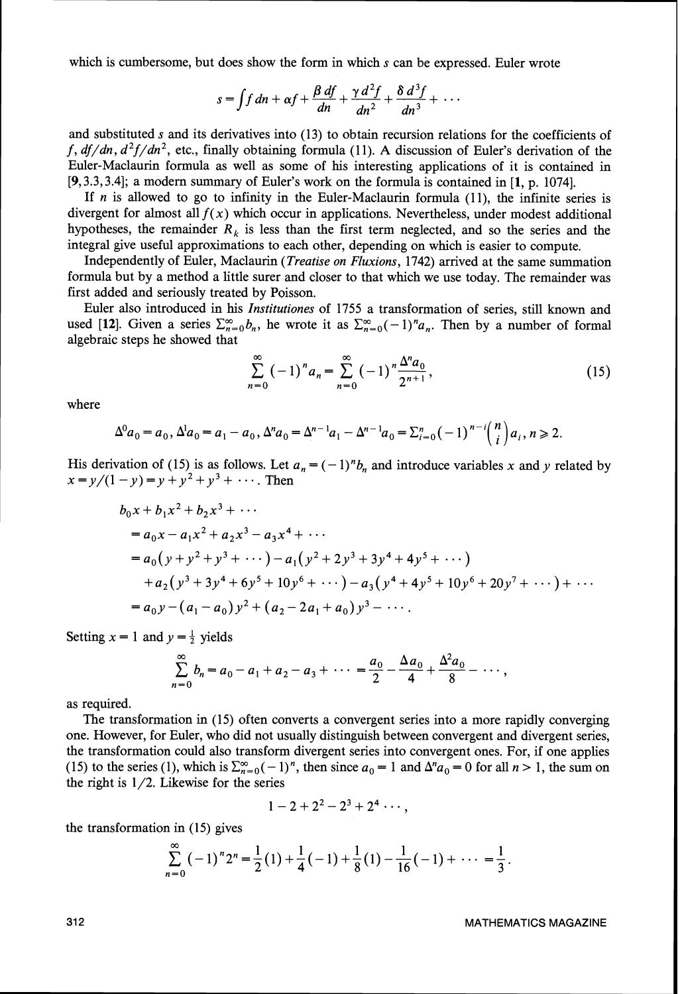which is cumbersome, but does show the form in which s can be expressed. Euler wrote

$$
s = \int f\,dn + \alpha f + \frac{\beta\,df}{dn} + \frac{\gamma\,d^2 f}{dn^2} + \frac{\delta\,d^3 f}{dn^3} + \cdots
$$

and substituted  $s$  and its derivatives into  $(13)$  to obtain recursion relations for the coefficients of f,  $df/dn$ ,  $d^2f/dn^2$ , etc., finally obtaining formula (11). A discussion of Euler's derivation of the Euler-Maclaurin formula as well as some of his interesting applications of it is contained in [9,3.3,3.4]; a modern summary of Euler's work on the formula is contained in **[I,** p. 10741.

If n is allowed to go to infinity in the Euler-Maclaurin formula  $(11)$ , the infinite series is divergent for almost all  $f(x)$  which occur in applications. Nevertheless, under modest additional hypotheses, the remainder  $R_k$  is less than the first term neglected, and so the series and the integral give useful approximations to each other, depending on which is easier to compute.

Independently of Euler, Maclaurin (Treatise on Fluxions, 1742) arrived at the same summation formula but by a method a little surer and closer to that which we use today. The remainder was first added and seriously treated by Poisson.

Euler also introduced in his Institutiones of 1755 a transformation of series, still known and used [12]. Given a series  $\sum_{n=0}^{\infty} b_n$ , he wrote it as  $\sum_{n=0}^{\infty} (-1)^n a_n$ . Then by a number of formal algebraic steps he showed that

$$
\sum_{n=0}^{\infty} (-1)^n a_n = \sum_{n=0}^{\infty} (-1)^n \frac{\Delta^n a_0}{2^{n+1}},
$$
\n(15)

where

$$
\Delta^0 a_0 = a_0, \, \Delta^1 a_0 = a_1 - a_0, \, \Delta^n a_0 = \Delta^{n-1} a_1 - \Delta^{n-1} a_0 = \sum_{i=0}^n (-1)^{n-i} \binom{n}{i} a_i, \, n \ge 2
$$

His derivation of (15) is as follows. Let  $a_n = (-1)^n b_n$  and introduce variables x and y related by  $x = v/(1 - v) = y + v<sup>2</sup> + y<sup>3</sup> + \cdots$ . Then

$$
b_0x + b_1x^2 + b_2x^3 + \cdots
$$
  
=  $a_0x - a_1x^2 + a_2x^3 - a_3x^4 + \cdots$   
=  $a_0(y + y^2 + y^3 + \cdots) - a_1(y^2 + 2y^3 + 3y^4 + 4y^5 + \cdots)$   
+  $a_2(y^3 + 3y^4 + 6y^5 + 10y^6 + \cdots) - a_3(y^4 + 4y^5 + 10y^6 + 20y^7 + \cdots) + \cdots$   
=  $a_0y - (a_1 - a_0)y^2 + (a_2 - 2a_1 + a_0)y^3 - \cdots$ 

Setting  $x = 1$  and  $y = \frac{1}{2}$  yields

$$
\sum_{n=0}^{\infty} b_n = a_0 - a_1 + a_2 - a_3 + \cdots = \frac{a_0}{2} - \frac{\Delta a_0}{4} + \frac{\Delta^2 a_0}{8} - \cdots,
$$

as required.

The transformation in (15) often converts a convergent series into a more rapidly converging one. However, for Euler, who did not usually distinguish between convergent and divergent series, the transformation could also transform divergent series into convergent ones. For, if one applies (15) to the series (1), which is  $\sum_{n=0}^{\infty}(-1)^n$ , then since  $a_0 = 1$  and  $\Delta^n a_0 = 0$  for all  $n > 1$ , the sum on the right is 1/2. Likewise for the series

$$
1-2+2^2-2^3+2^4\cdots,
$$

the transformation in  $(15)$  gives

$$
\sum_{n=0}^{\infty} (-1)^n 2^n = \frac{1}{2}(1) + \frac{1}{4}(-1) + \frac{1}{8}(1) - \frac{1}{16}(-1) + \cdots = \frac{1}{3}.
$$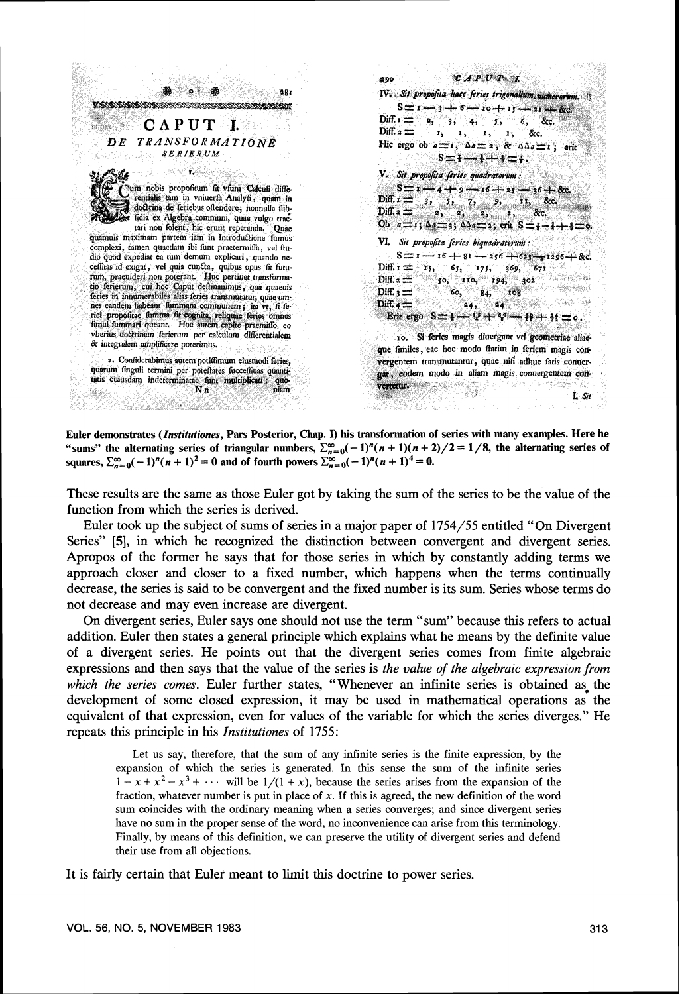$CAPUP.$ 290 IV. Sit proposita haec feries trigonalium numerorum. **INGVENENENENENENENENENENENENEN**  $-3$  +  $6$  -  $10$  +  $1$ } +  $21$  + & d  $s=r [\widehat{\mathbf{S}}]^{\text{Sd}}$  $Diff.1$ 35  $\epsilon,$  $\mathbf{z}$  $\overline{4}$ CAPUT  $\bf{T}$ Diff.  $2 =$  $\mathbb{R}$  $\mathbf{r}_i$  $R_{\rm C}$ x,  $\mathbf{r}$ TRANSFORMATIONE  $\overline{D}E$ Hic ergo ob  $a = 1$ ,  $\Delta a = 2$ ,  $\Delta a = 2$ , erit **SERIERUM**  $s = i - i + i = i$ . V. Sit proposita series quadratorum  $s = 1 - 4 + 9 - 16 + 25$ Jum nobis propofitum fit vfum Calculi diffe- $-36 + 8c$ rentialis tam in vniuerfa Analyfi, quam in Diff.  $i = 3, 5, 7, 9, 11, 8, 6, 10$ <br>Diff.  $a = 4, 4, 3, 4, 8, 8, 8, 8, 6, 10$ <br>Ob  $a = i$ ;  $\Delta a = 3$ ;  $\Delta \Delta a = 3$ ; eri,  $S = \frac{1}{2} - \frac{1}{4} + \frac{1}{2}$ doctrina de feriebus oftendere; nonnulla fubfidia ex Algebra communi, quae vulgo tractari non folent, hic erunt repetenda. Quae VI. Sit proposita feries biquadratorum: complexi, tamen quaedam ibi funt praetermiffa, vel ftudio quod expediat ea tum demum explicari, quando ne- $S = 1 - 16 + 81 - 256 + 628 - 1296 + 8c$ cellitas id exigat, vel quia cuncta, quibus opus fit futu-Diff.  $r = 15$ ,  $65$ ,  $175$ ,  $369$ ,  $671$ rum, praeuideri non poterant. Huc pertinet transforma- $50, 110, 194, 902$ Diff. 2 rum, praetutteri non poterant. Faux pertures transforma-<br>do ferierum, cui hoc Caput definatumnis, qua quaeuis<br>feries in innumerabiles alias feries transmutatur, quae om-60,  $Diff.3 =$  $84,$  $108$ Diff.  $4 =$ nes eandem habeant fummam communem; ita vt, fi fe- $\sqrt{24}$  $24,$ ries entrocut movem entropic communications, ne vs. n. r.<br>riel propolitae fumma fit cognita, reliquae feries omnes<br>fimul fummari queant. Hoc autem capite praemiffo, co Erit ergo  $S = 1 - \sqrt{1 - \sqrt{2}} - 1$ vberius doctrinam ferierum per calculum differentialem 10. Si feries magis diuergant vti geometriae aliae-& integralem amplificare poterimus. que fimiles, eae hoc modo flatim in feriem magis con-2. Confiderabimus autem potiffimum eiusmodi feries. vergentem transmutantur, quae nifi adhuc fatis conuerquarum finguli termini per poteflates fucceffiuas quantigar, codem modo in aliam magis conuergentem contatis cuiusdam indeterminatae funt multiplicati : vertetur. N n  $r<sub>ion</sub>$ L St

Euler demonstrates (Institutiones, Pars Posterior, Chap. I) his transformation of series with many examples. Here he "sums" the alternating series of triangular numbers,  $\sum_{n=0}^{\infty}(-1)^{n}(n+1)(n+2)/2=1/8$ , the alternating series of squares,  $\sum_{n=0}^{\infty}(-1)^{n}(n+1)^{2}=0$  and of fourth powers  $\sum_{n=0}^{\infty}(-1)^{n}(n+1)^{4}=0$ .

These results are the same as those Euler got by taking the sum of the series to be the value of the function from which the series is derived.

Euler took up the subject of sums of series in a major paper of 1754/55 entitled "On Divergent Series" [5], in which he recognized the distinction between convergent and divergent series. Apropos of the former he says that for those series in which by constantly adding terms we approach closer and closer to a fixed number, which happens when the terms continually decrease, the series is said to be convergent and the fixed number is its sum. Series whose terms do not decrease and may even increase are divergent.

On divergent series, Euler says one should not use the term "sum" because this refers to actual addition. Euler then states a general principle which explains what he means by the definite value of a divergent series. He points out that the divergent series comes from finite algebraic expressions and then says that the value of the series is the value of the algebraic expression from which the series comes. Euler further states, "Whenever an infinite series is obtained as the development of some closed expression, it may be used in mathematical operations as the equivalent of that expression, even for values of the variable for which the series diverges." He repeats this principle in his *Institutiones* of 1755:

Let us say, therefore, that the sum of any infinite series is the finite expression, by the expansion of which the series is generated. In this sense the sum of the infinite series  $1-x+x^2-x^3+\cdots$  will be  $1/(1+x)$ , because the series arises from the expansion of the fraction, whatever number is put in place of  $x$ . If this is agreed, the new definition of the word sum coincides with the ordinary meaning when a series converges; and since divergent series have no sum in the proper sense of the word, no inconvenience can arise from this terminology. Finally, by means of this definition, we can preserve the utility of divergent series and defend their use from all objections.

It is fairly certain that Euler meant to limit this doctrine to power series.

 $\pi$ ,  $\lambda$ 

.<br>Mari